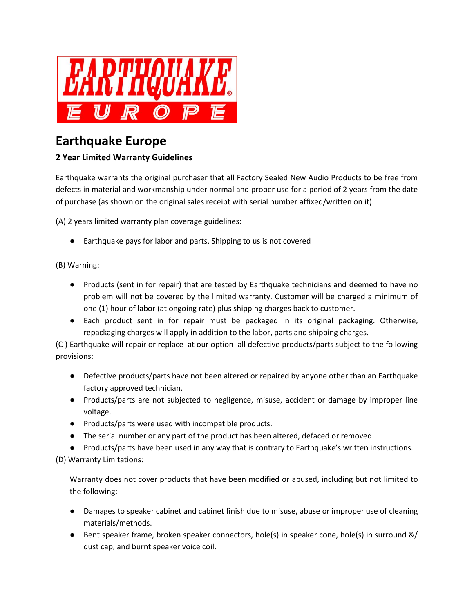

## **Earthquake Europe**

## **2 Year Limited Warranty Guidelines**

Earthquake warrants the original purchaser that all Factory Sealed New Audio Products to be free from defects in material and workmanship under normal and proper use for a period of 2 years from the date of purchase (as shown on the original sales receipt with serial number affixed/written on it).

(A) 2 years limited warranty plan coverage guidelines:

● Earthquake pays for labor and parts. Shipping to us is not covered

(B) Warning:

- Products (sent in for repair) that are tested by Earthquake technicians and deemed to have no problem will not be covered by the limited warranty. Customer will be charged a minimum of one (1) hour of labor (at ongoing rate) plus shipping charges back to customer.
- Each product sent in for repair must be packaged in its original packaging. Otherwise, repackaging charges will apply in addition to the labor, parts and shipping charges.

(C ) Earthquake will repair or replace at our option all defective products/parts subject to the following provisions:

- Defective products/parts have not been altered or repaired by anyone other than an Earthquake factory approved technician.
- Products/parts are not subjected to negligence, misuse, accident or damage by improper line voltage.
- Products/parts were used with incompatible products.
- The serial number or any part of the product has been altered, defaced or removed.
- Products/parts have been used in any way that is contrary to Earthquake's written instructions.

(D) Warranty Limitations:

Warranty does not cover products that have been modified or abused, including but not limited to the following:

- Damages to speaker cabinet and cabinet finish due to misuse, abuse or improper use of cleaning materials/methods.
- Bent speaker frame, broken speaker connectors, hole(s) in speaker cone, hole(s) in surround &/ dust cap, and burnt speaker voice coil.